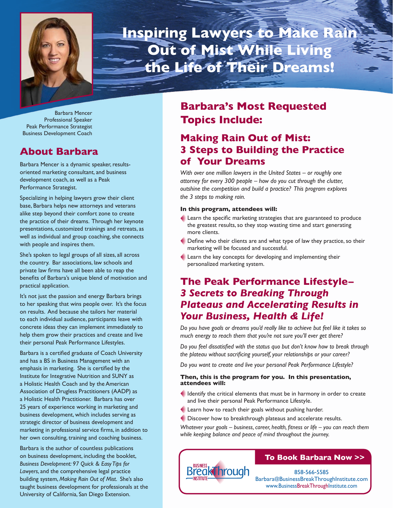

**Inspiring Lawyers to Make Rain Out of Mist While Living the Life of Their Dreams!**

Barbara Mencer Professional Speaker Peak Performance Strategist Business Development Coach

### **About Barbara**

Barbara Mencer is a dynamic speaker, resultsoriented marketing consultant, and business development coach, as well as a Peak Performance Strategist.

Specializing in helping lawyers grow their client base, Barbara helps new attorneys and veterans alike step beyond their comfort zone to create the practice of their dreams. Through her keynote presentations, customized trainings and retreats, as well as individual and group coaching, she connects with people and inspires them.

She's spoken to legal groups of all sizes, all across the country. Bar associations, law schools and private law firms have all been able to reap the benefits of Barbara's unique blend of motivation and practical application.

It's not just the passion and energy Barbara brings to her speaking that wins people over. It's the focus on results. And because she tailors her material to each individual audience, participants leave with concrete ideas they can implement immediately to help them grow their practices and create and live their personal Peak Performance Lifestyles.

Barbara is a certified graduate of Coach University and has a BS in Business Management with an emphasis in marketing. She is certified by the Institute for Integrative Nutrition and SUNY as a Holistic Health Coach and by the American Association of Drugless Practitioners (AADP) as a Holistic Health Practitioner. Barbara has over 25 years of experience working in marketing and business development, which includes serving as strategic director of business development and marketing in professional service firms, in addition to her own consulting, training and coaching business.

Barbara is the author of countless publications on business development, including the booklet, *Business Development: 97 Quick & Easy Tips for Lawyers*, and the comprehensive legal practice building system, *Making Rain Out of Mist*. She's also taught business development for professionals at the University of California, San Diego Extension.

# **Barbara's Most Requested Topics Include:**

# **Making Rain Out of Mist: 3 Steps to Building the Practice of Your Dreams**

*With over one million lawyers in the United States – or roughly one attorney for every 300 people – how do you cut through the clutter, outshine the competition and build a practice? This program explores the 3 steps to making rain.*

### **In this program, attendees will:**

- $\triangle$  Learn the specific marketing strategies that are guaranteed to produce the greatest results, so they stop wasting time and start generating more clients.
- $\blacklozenge$  Define who their clients are and what type of law they practice, so their marketing will be focused and successful.
- Learn the key concepts for developing and implementing their personalized marketing system.

## **The Peak Performance Lifestyle–**  *3 Secrets to Breaking Through Plateaus and Accelerating Results in Your Business, Health & Life!*

*Do you have goals or dreams you'd really like to achieve but feel like it takes so much energy to reach them that you're not sure you'll ever get there?*

Do you feel dissatisfied with the status quo but don't know how to break through the plateau without sacrificing yourself, your relationships or your career?

*Do you want to create and live your personal Peak Performance Lifestyle?*

### **Then, this is the program for you. In this presentation, attendees will:**

- Identify the critical elements that must be in harmony in order to create and live their personal Peak Performance Lifestyle.
- Learn how to reach their goals without pushing harder.
- Discover how to breakthrough plateaus and accelerate results.

Whatever your goals – business, career, health, fitness or life – you can reach them *while keeping balance and peace of mind throughout the journey.*



### **To Book Barbara Now >>**

858-566-5585 Barbara@BusinessBreakThroughInstitute.com www.BusinessBreakThroughInstitute.com